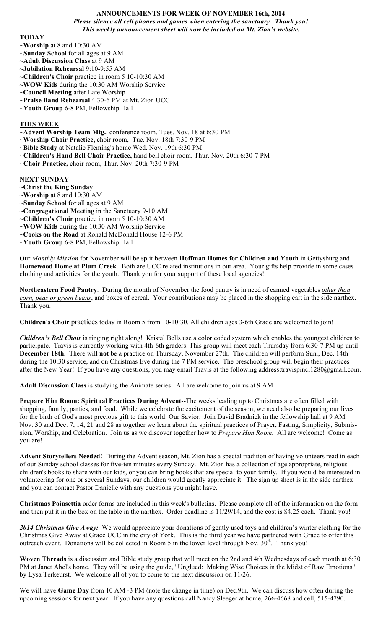#### **ANNOUNCEMENTS FOR WEEK OF NOVEMBER 16th, 2014** *Please silence all cell phones and games when entering the sanctuary. Thank you! This weekly announcement sheet will now be included on Mt. Zion's website.*

### **TODAY**

- **~Worship** at 8 and 10:30 AM
- ~**Sunday School** for all ages at 9 AM
- ~**Adult Discussion Class** at 9 AM
- **~Jubilation Rehearsal** 9:10-9:55 AM
- ~**Children's Choir** practice in room 5 10-10:30 AM
- **~WOW Kids** during the 10:30 AM Worship Service
- **~Council Meeting** after Late Worship
- **~Praise Band Rehearsal** 4:30-6 PM at Mt. Zion UCC
- ~**Youth Group** 6-8 PM, Fellowship Hall

## **THIS WEEK**

**~Advent Worship Team Mtg.**, conference room, Tues. Nov. 18 at 6:30 PM

- **~Worship Choir Practice,** choir room,Tue. Nov. 18th 7:30-9 PM
- **~Bible Study** at Natalie Fleming's home Wed. Nov. 19th 6:30 PM
- ~**Children's Hand Bell Choir Practice,** hand bell choir room, Thur. Nov. 20th 6:30-7 PM
- ~**Choir Practice,** choir room, Thur. Nov. 20th 7:30-9 PM

# **NEXT SUNDAY**

- **~Christ the King Sunday**
- **~Worship** at 8 and 10:30 AM
- ~**Sunday School** for all ages at 9 AM
- **~Congregational Meeting** in the Sanctuary 9-10 AM
- ~**Children's Choir** practice in room 5 10-10:30 AM
- **~WOW Kids** during the 10:30 AM Worship Service
- **~Cooks on the Road** at Ronald McDonald House 12-6 PM
- ~**Youth Group** 6-8 PM, Fellowship Hall

Our *Monthly Mission* for November will be split between **Hoffman Homes for Children and Youth** in Gettysburg and **Homewood Home at Plum Creek**. Both are UCC related institutions in our area. Your gifts help provide in some cases clothing and activities for the youth. Thank you for your support of these local agencies!

**Northeastern Food Pantry**. During the month of November the food pantry is in need of canned vegetables *other than corn, peas or green beans*, and boxes of cereal. Your contributions may be placed in the shopping cart in the side narthex. Thank you.

**Children's Choir** practices today in Room 5 from 10-10:30. All children ages 3-6th Grade are welcomed to join!

*Children's Bell Choir* is ringing right along! Kristal Bells use a color coded system which enables the youngest children to participate. Travis is currently working with 4th-6th graders. This group will meet each Thursday from 6:30-7 PM up until **December 18th.** There will **not** be a practice on Thursday, November 27th. The children will perform Sun., Dec. 14th during the 10:30 service, and on Christmas Eve during the 7 PM service. The preschool group will begin their practices after the New Year! If you have any questions, you may email Travis at the following address: travispinci1280@gmail.com.

**Adult Discussion Class** is studying the Animate series. All are welcome to join us at 9 AM.

**Prepare Him Room: Spiritual Practices During Advent**--The weeks leading up to Christmas are often filled with shopping, family, parties, and food. While we celebrate the excitement of the season, we need also be preparing our lives for the birth of God's most precious gift to this world: Our Savior. Join David Bradnick in the fellowship hall at 9 AM Nov. 30 and Dec. 7, 14, 21 and 28 as together we learn about the spiritual practices of Prayer, Fasting, Simplicity, Submission, Worship, and Celebration. Join us as we discover together how to *Prepare Him Room.* All are welcome! Come as you are!

**Advent Storytellers Needed!** During the Advent season, Mt. Zion has a special tradition of having volunteers read in each of our Sunday school classes for five-ten minutes every Sunday. Mt. Zion has a collection of age appropriate, religious children's books to share with our kids, or you can bring books that are special to your family. If you would be interested in volunteering for one or several Sundays, our children would greatly appreciate it. The sign up sheet is in the side narthex and you can contact Pastor Danielle with any questions you might have.

**Christmas Poinsettia** order forms are included in this week's bulletins. Please complete all of the information on the form and then put it in the box on the table in the narthex. Order deadline is 11/29/14, and the cost is \$4.25 each. Thank you!

*2014 Christmas Give Away:* We would appreciate your donations of gently used toys and children's winter clothing for the Christmas Give Away at Grace UCC in the city of York. This is the third year we have partnered with Grace to offer this outreach event. Donations will be collected in Room 5 in the lower level through Nov.  $30<sup>th</sup>$ . Thank you!

**Woven Threads** is a discussion and Bible study group that will meet on the 2nd and 4th Wednesdays of each month at 6:30 PM at Janet Abel's home. They will be using the guide, "Unglued: Making Wise Choices in the Midst of Raw Emotions" by Lysa Terkeurst. We welcome all of you to come to the next discussion on 11/26.

We will have **Game Day** from 10 AM -3 PM (note the change in time) on Dec.9th. We can discuss how often during the upcoming sessions for next year. If you have any questions call Nancy Sleeger at home, 266-4668 and cell, 515-4790.